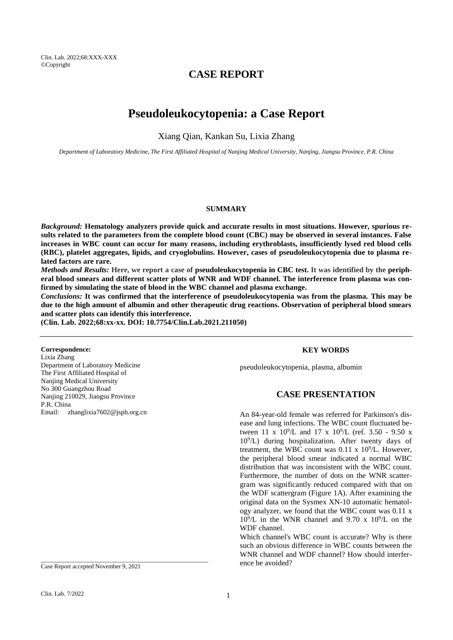# **CASE REPORT**

# **Pseudoleukocytopenia: a Case Report**

Xiang Qian, Kankan Su, Lixia Zhang

*Department of Laboratory Medicine, The First Affiliated Hospital of Nanjing Medical University, Nanjing, Jiangsu Province, P.R. China*

### **SUMMARY**

*Background:* **Hematology analyzers provide quick and accurate results in most situations. However, spurious results related to the parameters from the complete blood count (CBC) may be observed in several instances. False increases in WBC count can occur for many reasons, including erythroblasts, insufficiently lysed red blood cells (RBC), platelet aggregates, lipids, and cryoglobulins. However, cases of pseudoleukocytopenia due to plasma related factors are rare.**

*Methods and Results:* **Here, we report a case of pseudoleukocytopenia in CBC test. It was identified by the peripheral blood smears and different scatter plots of WNR and WDF channel. The interference from plasma was confirmed by simulating the state of blood in the WBC channel and plasma exchange.**

*Conclusions:* **It was confirmed that the interference of pseudoleukocytopenia was from the plasma. This may be due to the high amount of albumin and other therapeutic drug reactions. Observation of peripheral blood smears and scatter plots can identify this interference.**

**(Clin. Lab. 2022;68:xx-xx. DOI: 10.7754/Clin.Lab.2021.211050)**

### **Correspondence:**

Lixia Zhang Department of Laboratory Medicine The First Affiliated Hospital of Nanjing Medical University No 300 Guangzhou Road Nanjing 210029, Jiangsu Province P.R. China Email: zhanglixia7602@jsph.org.cn

Case Report accepted November 9, 2021

\_\_\_\_\_\_\_\_\_\_\_\_\_\_\_\_\_\_\_\_\_\_\_\_\_\_\_\_\_\_\_\_\_\_\_\_\_\_\_\_\_\_\_\_\_\_\_\_\_\_\_\_\_\_\_

## **KEY WORDS**

pseudoleukocytopenia, plasma, albumin

## **CASE PRESENTATION**

An 84-year-old female was referred for Parkinson's disease and lung infections. The WBC count fluctuated between 11 x  $10^9$ /L and 17 x  $10^9$ /L (ref. 3.50 - 9.50 x 10<sup>9</sup> /L) during hospitalization. After twenty days of treatment, the WBC count was  $0.11 \times 10^9$ /L. However, the peripheral blood smear indicated a normal WBC distribution that was inconsistent with the WBC count. Furthermore, the number of dots on the WNR scattergram was significantly reduced compared with that on the WDF scattergram (Figure 1A). After examining the original data on the Sysmex XN-10 automatic hematology analyzer, we found that the WBC count was 0.11 x  $10^9$ /L in the WNR channel and 9.70 x  $10^9$ /L on the WDF channel.

Which channel's WBC count is accurate? Why is there such an obvious difference in WBC counts between the WNR channel and WDF channel? How should interference be avoided?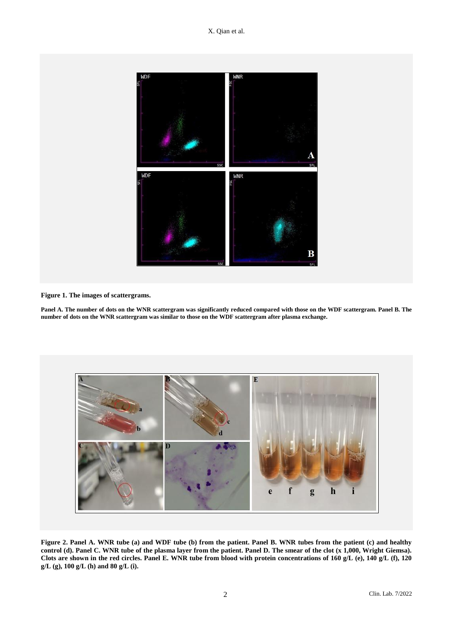

**Figure 1. The images of scattergrams.**

**Panel A. The number of dots on the WNR scattergram was significantly reduced compared with those on the WDF scattergram. Panel B. The number of dots on the WNR scattergram was similar to those on the WDF scattergram after plasma exchange.**



**Figure 2. Panel A. WNR tube (a) and WDF tube (b) from the patient. Panel B. WNR tubes from the patient (c) and healthy control (d). Panel C. WNR tube of the plasma layer from the patient. Panel D. The smear of the clot (x 1,000, Wright Giemsa). Clots are shown in the red circles. Panel E. WNR tube from blood with protein concentrations of 160 g/L (e), 140 g/L (f), 120 g/L (g), 100 g/L (h) and 80 g/L (i).**